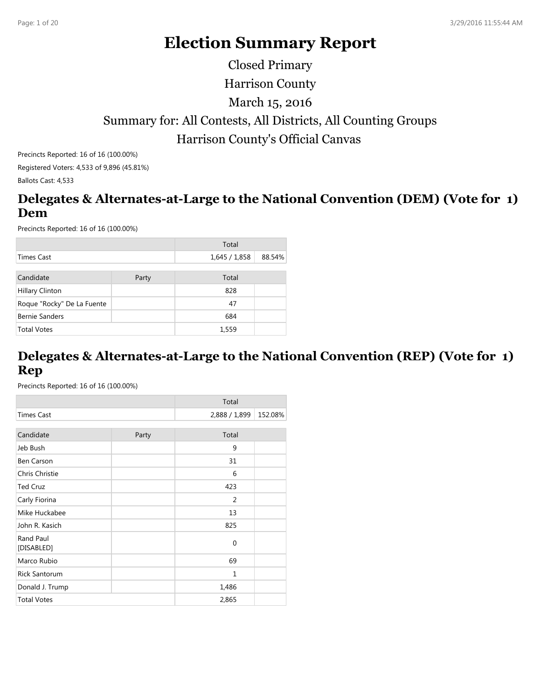# **Election Summary Report**

Harrison County Summary for: All Contests, All Districts, All Counting Groups Harrison County's Official Canvas March 15, 2016 Closed Primary

Precincts Reported: 16 of 16 (100.00%) Registered Voters: 4,533 of 9,896 (45.81%) Ballots Cast: 4,533

# **Delegates & Alternates-at-Large to the National Convention (DEM) (Vote for 1) Dem**

Precincts Reported: 16 of 16 (100.00%)

|                            |       | Total       |        |
|----------------------------|-------|-------------|--------|
| Times Cast                 |       | 1,645/1,858 | 88.54% |
|                            |       |             |        |
| Candidate                  | Party | Total       |        |
| <b>Hillary Clinton</b>     |       | 828         |        |
| Roque "Rocky" De La Fuente |       | 47          |        |
| <b>Bernie Sanders</b>      |       | 684         |        |
| <b>Total Votes</b>         |       | 1,559       |        |

# **Delegates & Alternates-at-Large to the National Convention (REP) (Vote for 1) Rep**

|                         |       | Total         |         |
|-------------------------|-------|---------------|---------|
| <b>Times Cast</b>       |       | 2,888 / 1,899 | 152.08% |
|                         |       |               |         |
| Candidate               | Party | Total         |         |
| Jeb Bush                |       | 9             |         |
| <b>Ben Carson</b>       |       | 31            |         |
| Chris Christie          |       | 6             |         |
| <b>Ted Cruz</b>         |       | 423           |         |
| Carly Fiorina           |       | 2             |         |
| Mike Huckabee           |       | 13            |         |
| John R. Kasich          |       | 825           |         |
| Rand Paul<br>[DISABLED] |       | $\mathbf 0$   |         |
| Marco Rubio             |       | 69            |         |
| <b>Rick Santorum</b>    |       | 1             |         |
| Donald J. Trump         |       | 1,486         |         |
| <b>Total Votes</b>      |       | 2,865         |         |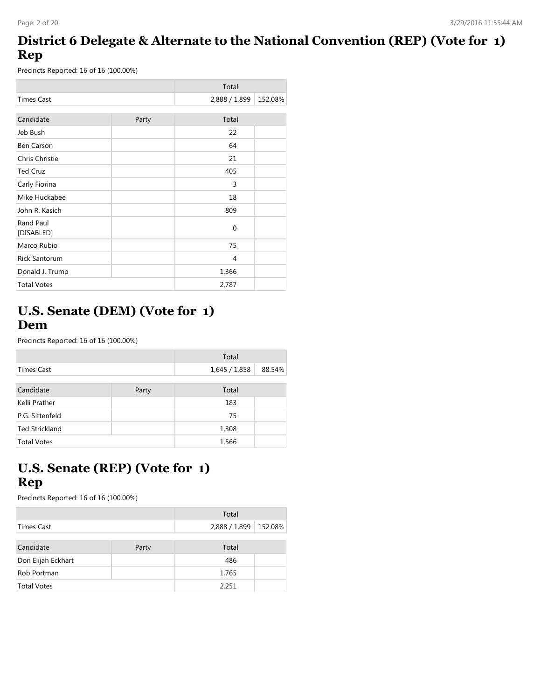# **District 6 Delegate & Alternate to the National Convention (REP) (Vote for 1) Rep**

Precincts Reported: 16 of 16 (100.00%)

|                         |       | Total         |         |
|-------------------------|-------|---------------|---------|
| <b>Times Cast</b>       |       | 2,888 / 1,899 | 152.08% |
|                         |       |               |         |
| Candidate               | Party | Total         |         |
| Jeb Bush                |       | 22            |         |
| <b>Ben Carson</b>       |       | 64            |         |
| Chris Christie          |       | 21            |         |
| <b>Ted Cruz</b>         |       | 405           |         |
| Carly Fiorina           |       | 3             |         |
| Mike Huckabee           |       | 18            |         |
| John R. Kasich          |       | 809           |         |
| Rand Paul<br>[DISABLED] |       | $\mathbf 0$   |         |
| Marco Rubio             |       | 75            |         |
| <b>Rick Santorum</b>    |       | 4             |         |
| Donald J. Trump         |       | 1,366         |         |
| <b>Total Votes</b>      |       | 2,787         |         |

#### **U.S. Senate (DEM) (Vote for 1) Dem**

Precincts Reported: 16 of 16 (100.00%)

|                    |       | Total       |        |
|--------------------|-------|-------------|--------|
| Times Cast         |       | 1,645/1,858 | 88.54% |
| Candidate          | Party | Total       |        |
| Kelli Prather      |       | 183         |        |
| P.G. Sittenfeld    |       | 75          |        |
| Ted Strickland     |       | 1,308       |        |
| <b>Total Votes</b> |       | 1,566       |        |

# **U.S. Senate (REP) (Vote for 1) Rep**

|                    |       | Total         |         |
|--------------------|-------|---------------|---------|
| Times Cast         |       | 2,888 / 1,899 | 152.08% |
|                    |       |               |         |
| Candidate          | Party | Total         |         |
| Don Elijah Eckhart |       | 486           |         |
| Rob Portman        |       | 1,765         |         |
| <b>Total Votes</b> |       | 2,251         |         |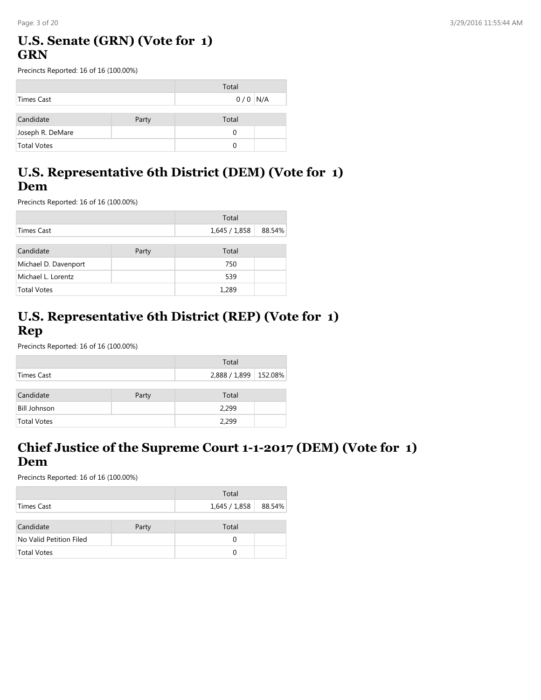# **U.S. Senate (GRN) (Vote for 1) GRN**

Precincts Reported: 16 of 16 (100.00%)

|                    |       | Total     |  |
|--------------------|-------|-----------|--|
| Times Cast         |       | $0/0$ N/A |  |
|                    |       |           |  |
| Candidate          | Party | Total     |  |
| Joseph R. DeMare   |       |           |  |
| <b>Total Votes</b> |       |           |  |

# **U.S. Representative 6th District (DEM) (Vote for 1) Dem**

Precincts Reported: 16 of 16 (100.00%)

|                      |       | Total         |        |
|----------------------|-------|---------------|--------|
| Times Cast           |       | 1,645 / 1,858 | 88.54% |
|                      |       |               |        |
| Candidate            | Party | Total         |        |
| Michael D. Davenport |       | 750           |        |
| Michael L. Lorentz   |       | 539           |        |
| <b>Total Votes</b>   |       | 1,289         |        |

#### **U.S. Representative 6th District (REP) (Vote for 1) Rep**

Precincts Reported: 16 of 16 (100.00%)

|                     |       | Total                   |  |
|---------------------|-------|-------------------------|--|
| Times Cast          |       | 2,888 / 1,899   152.08% |  |
| Candidate           | Party | Total                   |  |
|                     |       |                         |  |
| <b>Bill Johnson</b> |       | 2,299                   |  |
| <b>Total Votes</b>  |       | 2,299                   |  |

#### **Chief Justice of the Supreme Court 1-1-2017 (DEM) (Vote for 1) Dem**

|                         |       | Total                |  |
|-------------------------|-------|----------------------|--|
| Times Cast              |       | 1,645 / 1,858 88.54% |  |
| Candidate               | Party | Total                |  |
| No Valid Petition Filed |       | 0                    |  |
| <b>Total Votes</b>      |       | 0                    |  |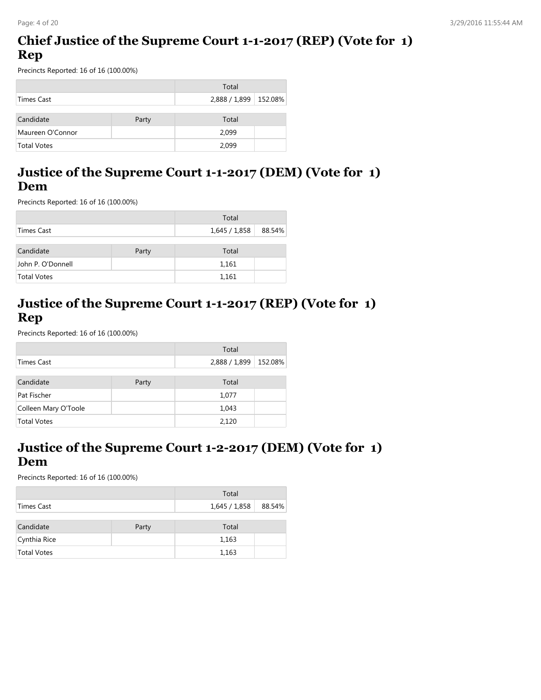#### **Chief Justice of the Supreme Court 1-1-2017 (REP) (Vote for 1) Rep**

Precincts Reported: 16 of 16 (100.00%)

|                  |       | Total                   |  |
|------------------|-------|-------------------------|--|
| Times Cast       |       | 2,888 / 1,899   152.08% |  |
|                  |       |                         |  |
| Candidate        | Party | Total                   |  |
| Maureen O'Connor |       | 2,099                   |  |
| Total Votes      |       | 2.099                   |  |

#### **Justice of the Supreme Court 1-1-2017 (DEM) (Vote for 1) Dem**

Precincts Reported: 16 of 16 (100.00%)

|                   |       | Total       |        |
|-------------------|-------|-------------|--------|
| Times Cast        |       | 1,645/1,858 | 88.54% |
| Candidate         | Party | Total       |        |
| John P. O'Donnell |       | 1,161       |        |
| Total Votes       |       | 1,161       |        |

# **Justice of the Supreme Court 1-1-2017 (REP) (Vote for 1) Rep**

Precincts Reported: 16 of 16 (100.00%)

|                      |       | Total         |         |
|----------------------|-------|---------------|---------|
| Times Cast           |       | 2,888 / 1,899 | 152.08% |
|                      |       |               |         |
| Candidate            | Party | Total         |         |
| Pat Fischer          |       | 1,077         |         |
| Colleen Mary O'Toole |       | 1,043         |         |
| <b>Total Votes</b>   |       | 2,120         |         |

#### **Justice of the Supreme Court 1-2-2017 (DEM) (Vote for 1) Dem**

|                    |       | Total                  |  |
|--------------------|-------|------------------------|--|
| Times Cast         |       | 1,645 / 1,858   88.54% |  |
| Candidate          | Party | Total                  |  |
| Cynthia Rice       |       | 1,163                  |  |
| <b>Total Votes</b> |       | 1,163                  |  |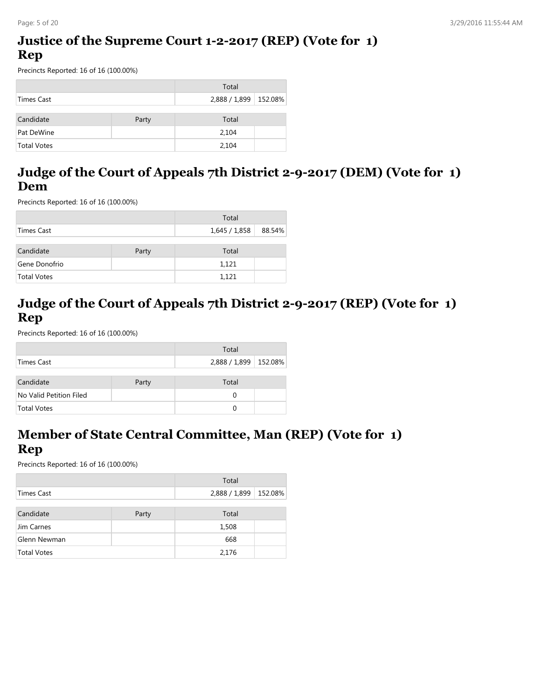#### **Justice of the Supreme Court 1-2-2017 (REP) (Vote for 1) Rep**

Precincts Reported: 16 of 16 (100.00%)

|                    |       | Total                   |  |
|--------------------|-------|-------------------------|--|
| Times Cast         |       | 2,888 / 1,899   152.08% |  |
|                    |       |                         |  |
| Candidate          | Party | Total                   |  |
| Pat DeWine         |       | 2,104                   |  |
| <b>Total Votes</b> |       | 2,104                   |  |

# **Judge of the Court of Appeals 7th District 2-9-2017 (DEM) (Vote for 1) Dem**

Precincts Reported: 16 of 16 (100.00%)

|                    |       | Total         |        |
|--------------------|-------|---------------|--------|
| Times Cast         |       | 1,645 / 1,858 | 88.54% |
| Candidate          | Party | Total         |        |
| Gene Donofrio      |       | 1,121         |        |
| <b>Total Votes</b> |       | 1.121         |        |

# **Judge of the Court of Appeals 7th District 2-9-2017 (REP) (Vote for 1) Rep**

Precincts Reported: 16 of 16 (100.00%)

|                         |       | Total                   |  |
|-------------------------|-------|-------------------------|--|
| Times Cast              |       | 2,888 / 1,899   152.08% |  |
|                         |       |                         |  |
| Candidate               | Party | Total                   |  |
| No Valid Petition Filed |       | 0                       |  |
| <b>Total Votes</b>      |       | ∩                       |  |

#### **Member of State Central Committee, Man (REP) (Vote for 1) Rep**

|                    |       | Total                 |  |
|--------------------|-------|-----------------------|--|
| Times Cast         |       | 2,888 / 1,899 152.08% |  |
|                    |       |                       |  |
| Candidate          | Party | Total                 |  |
| Jim Carnes         |       | 1,508                 |  |
| Glenn Newman       |       | 668                   |  |
| <b>Total Votes</b> |       | 2,176                 |  |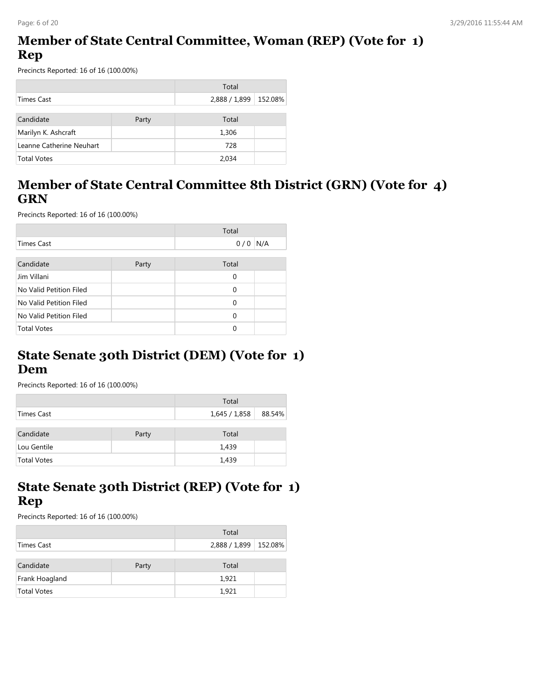# **Member of State Central Committee, Woman (REP) (Vote for 1) Rep**

Precincts Reported: 16 of 16 (100.00%)

|                          |       | Total         |         |
|--------------------------|-------|---------------|---------|
| Times Cast               |       | 2,888 / 1,899 | 152.08% |
|                          |       |               |         |
| Candidate                | Party | Total         |         |
| Marilyn K. Ashcraft      |       | 1,306         |         |
| Leanne Catherine Neuhart |       | 728           |         |
| <b>Total Votes</b>       |       | 2.034         |         |

# **Member of State Central Committee 8th District (GRN) (Vote for 4) GRN**

Precincts Reported: 16 of 16 (100.00%)

|                         |       | Total    |     |
|-------------------------|-------|----------|-----|
| <b>Times Cast</b>       |       | 0/0      | N/A |
|                         |       |          |     |
| Candidate               | Party | Total    |     |
| Jim Villani             |       | $\Omega$ |     |
| No Valid Petition Filed |       | $\Omega$ |     |
| No Valid Petition Filed |       | $\Omega$ |     |
| No Valid Petition Filed |       | $\Omega$ |     |
| <b>Total Votes</b>      |       | $\Omega$ |     |

#### **State Senate 30th District (DEM) (Vote for 1) Dem**

Precincts Reported: 16 of 16 (100.00%)

|                    |       | Total         |        |
|--------------------|-------|---------------|--------|
| Times Cast         |       | 1,645 / 1,858 | 88.54% |
| Candidate          | Party | Total         |        |
| Lou Gentile        |       | 1,439         |        |
| <b>Total Votes</b> |       | 1,439         |        |

# **State Senate 30th District (REP) (Vote for 1) Rep**

|                    |       | Total                   |  |
|--------------------|-------|-------------------------|--|
| Times Cast         |       | 2,888 / 1,899   152.08% |  |
| Candidate          | Party | Total                   |  |
| Frank Hoagland     |       | 1,921                   |  |
| <b>Total Votes</b> |       | 1,921                   |  |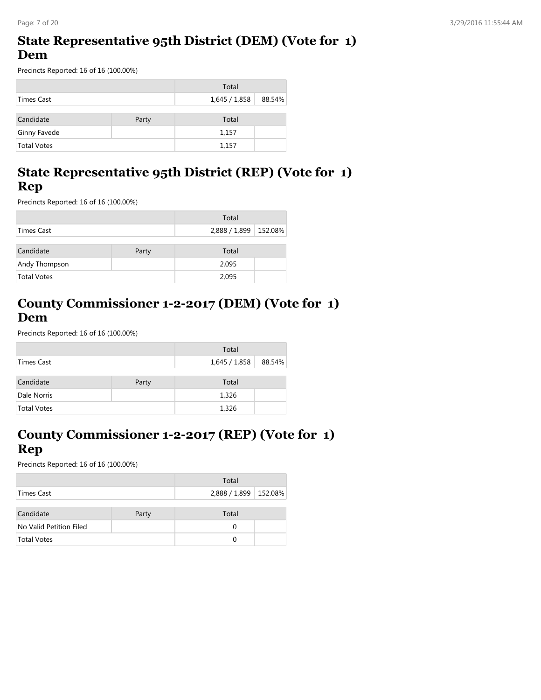#### **State Representative 95th District (DEM) (Vote for 1) Dem**

Precincts Reported: 16 of 16 (100.00%)

|                    |       | Total                  |  |
|--------------------|-------|------------------------|--|
| Times Cast         |       | 1,645 / 1,858   88.54% |  |
|                    |       |                        |  |
| Candidate          | Party | Total                  |  |
| Ginny Favede       |       | 1,157                  |  |
| <b>Total Votes</b> |       | 1,157                  |  |

# **State Representative 95th District (REP) (Vote for 1) Rep**

Precincts Reported: 16 of 16 (100.00%)

|                    |       | Total                   |  |
|--------------------|-------|-------------------------|--|
| Times Cast         |       | 2,888 / 1,899   152.08% |  |
| Candidate          | Party | Total                   |  |
| Andy Thompson      |       | 2,095                   |  |
| <b>Total Votes</b> |       | 2,095                   |  |

# **County Commissioner 1-2-2017 (DEM) (Vote for 1) Dem**

Precincts Reported: 16 of 16 (100.00%)

|                    |       | Total         |        |
|--------------------|-------|---------------|--------|
| Times Cast         |       | 1,645 / 1,858 | 88.54% |
| Candidate          | Party | Total         |        |
| Dale Norris        |       | 1,326         |        |
| <b>Total Votes</b> |       | 1,326         |        |

# **County Commissioner 1-2-2017 (REP) (Vote for 1) Rep**

|                         |       | Total                   |  |
|-------------------------|-------|-------------------------|--|
| Times Cast              |       | 2,888 / 1,899   152.08% |  |
| Candidate               | Party | Total                   |  |
| No Valid Petition Filed |       | 0                       |  |
| <b>Total Votes</b>      |       | O                       |  |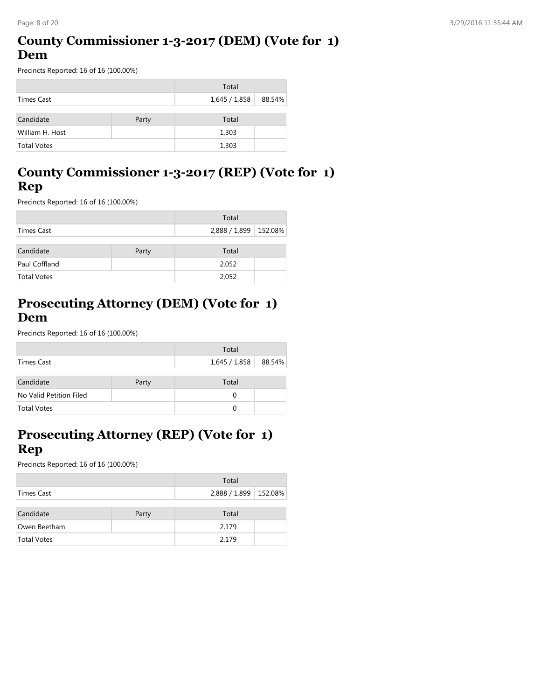# **County Commissioner 1-3-2017 (DEM) (Vote for 1) Dem**

Precincts Reported: 16 of 16 (100.00%)

|                    |       | Total       |        |
|--------------------|-------|-------------|--------|
| Times Cast         |       | 1,645/1,858 | 88.54% |
| Candidate          | Party | Total       |        |
| William H. Host    |       | 1,303       |        |
| <b>Total Votes</b> |       | 1,303       |        |

# **County Commissioner 1-3-2017 (REP) (Vote for 1) Rep**

Precincts Reported: 16 of 16 (100.00%)

|                    |       | Total                   |  |
|--------------------|-------|-------------------------|--|
| Times Cast         |       | 2,888 / 1,899   152.08% |  |
| Candidate          | Party | Total                   |  |
| Paul Coffland      |       | 2,052                   |  |
| <b>Total Votes</b> |       | 2,052                   |  |

# **Prosecuting Attorney (DEM) (Vote for 1) Dem**

Precincts Reported: 16 of 16 (100.00%)

|                         |       | Total                |  |
|-------------------------|-------|----------------------|--|
| Times Cast              |       | 1,645 / 1,858 88.54% |  |
| Candidate               | Party | Total                |  |
| No Valid Petition Filed |       | 0                    |  |
| <b>Total Votes</b>      |       | 0                    |  |

## **Prosecuting Attorney (REP) (Vote for 1) Rep**

|                    |       | Total                 |  |
|--------------------|-------|-----------------------|--|
| Times Cast         |       | 2,888 / 1,899 152.08% |  |
|                    |       |                       |  |
| Candidate          | Party | Total                 |  |
| Owen Beetham       |       | 2,179                 |  |
| <b>Total Votes</b> |       | 2,179                 |  |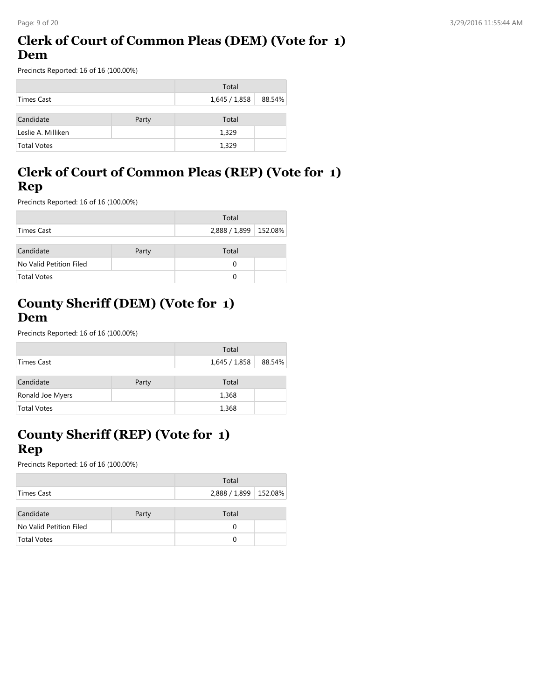# **Clerk of Court of Common Pleas (DEM) (Vote for 1) Dem**

Precincts Reported: 16 of 16 (100.00%)

|                    |       | Total       |        |
|--------------------|-------|-------------|--------|
| Times Cast         |       | 1,645/1,858 | 88.54% |
| Candidate          | Party | Total       |        |
|                    |       |             |        |
| Leslie A. Milliken |       | 1,329       |        |
| <b>Total Votes</b> |       | 1,329       |        |

# **Clerk of Court of Common Pleas (REP) (Vote for 1) Rep**

Precincts Reported: 16 of 16 (100.00%)

|                         |       | Total                   |  |
|-------------------------|-------|-------------------------|--|
| Times Cast              |       | 2,888 / 1,899   152.08% |  |
| Candidate               | Party | Total                   |  |
| No Valid Petition Filed |       | 0                       |  |
| <b>Total Votes</b>      |       | 0                       |  |

# **County Sheriff (DEM) (Vote for 1) Dem**

Precincts Reported: 16 of 16 (100.00%)

|                    |       | Total         |        |
|--------------------|-------|---------------|--------|
| Times Cast         |       | 1,645 / 1,858 | 88.54% |
| Candidate          | Party | Total         |        |
| Ronald Joe Myers   |       | 1,368         |        |
| <b>Total Votes</b> |       | 1,368         |        |

# **County Sheriff (REP) (Vote for 1) Rep**

|                         |       | Total                   |  |
|-------------------------|-------|-------------------------|--|
| Times Cast              |       | 2,888 / 1,899   152.08% |  |
| Candidate               | Party | Total                   |  |
| No Valid Petition Filed |       | 0                       |  |
| <b>Total Votes</b>      |       |                         |  |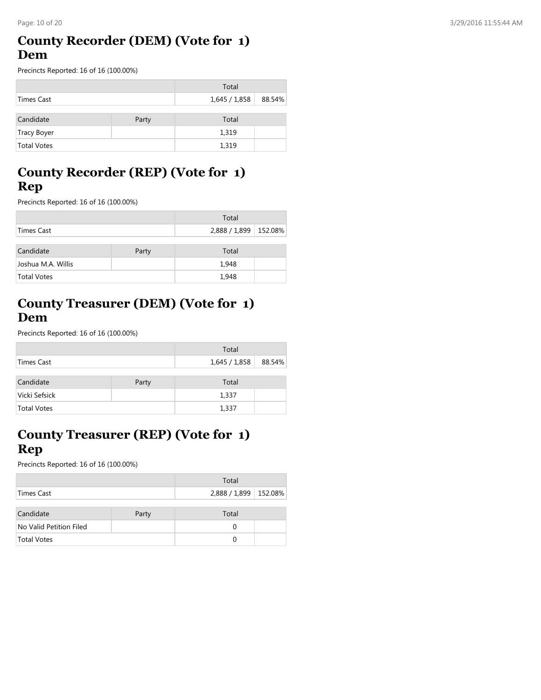#### **County Recorder (DEM) (Vote for 1) Dem**

Precincts Reported: 16 of 16 (100.00%)

|                    |       | Total         |        |
|--------------------|-------|---------------|--------|
| Times Cast         |       | 1,645 / 1,858 | 88.54% |
| Candidate          | Party | Total         |        |
| Tracy Boyer        |       | 1,319         |        |
| <b>Total Votes</b> |       | 1,319         |        |

# **County Recorder (REP) (Vote for 1) Rep**

Precincts Reported: 16 of 16 (100.00%)

|                    |       | Total                   |  |
|--------------------|-------|-------------------------|--|
| Times Cast         |       | 2,888 / 1,899   152.08% |  |
| Candidate          | Party | Total                   |  |
| Joshua M.A. Willis |       | 1,948                   |  |
| <b>Total Votes</b> |       | 1,948                   |  |

# **County Treasurer (DEM) (Vote for 1) Dem**

Precincts Reported: 16 of 16 (100.00%)

|                    |       | Total       |        |
|--------------------|-------|-------------|--------|
| Times Cast         |       | 1,645/1,858 | 88.54% |
| Candidate          | Party | Total       |        |
| Vicki Sefsick      |       | 1,337       |        |
| <b>Total Votes</b> |       | 1,337       |        |

#### **County Treasurer (REP) (Vote for 1) Rep**

|                         |       | Total                   |  |
|-------------------------|-------|-------------------------|--|
| Times Cast              |       | 2,888 / 1,899   152.08% |  |
| Candidate               | Party | Total                   |  |
| No Valid Petition Filed |       | 0                       |  |
| Total Votes             |       |                         |  |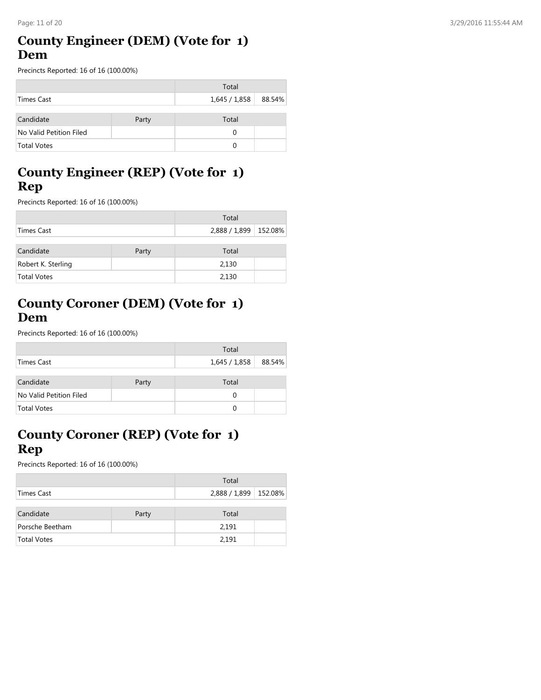#### **County Engineer (DEM) (Vote for 1) Dem**

Precincts Reported: 16 of 16 (100.00%)

|                         |       | Total                  |  |
|-------------------------|-------|------------------------|--|
| Times Cast              |       | 1,645 / 1,858   88.54% |  |
| Candidate               | Party | Total                  |  |
| No Valid Petition Filed |       | 0                      |  |
| <b>Total Votes</b>      |       | 0                      |  |

# **County Engineer (REP) (Vote for 1) Rep**

Precincts Reported: 16 of 16 (100.00%)

|                    |       | Total                   |  |
|--------------------|-------|-------------------------|--|
| Times Cast         |       | 2,888 / 1,899   152.08% |  |
| Candidate          | Party | Total                   |  |
| Robert K. Sterling |       | 2,130                   |  |
| <b>Total Votes</b> |       | 2,130                   |  |

#### **County Coroner (DEM) (Vote for 1) Dem**

Precincts Reported: 16 of 16 (100.00%)

|                         |       | Total       |        |
|-------------------------|-------|-------------|--------|
| Times Cast              |       | 1,645/1,858 | 88.54% |
| Candidate               | Party | Total       |        |
| No Valid Petition Filed |       | 0           |        |
| <b>Total Votes</b>      |       | 0           |        |

## **County Coroner (REP) (Vote for 1) Rep**

|                    |       | Total                   |  |
|--------------------|-------|-------------------------|--|
| Times Cast         |       | 2,888 / 1,899   152.08% |  |
|                    |       |                         |  |
| Candidate          | Party | Total                   |  |
| Porsche Beetham    |       | 2,191                   |  |
| <b>Total Votes</b> |       | 2,191                   |  |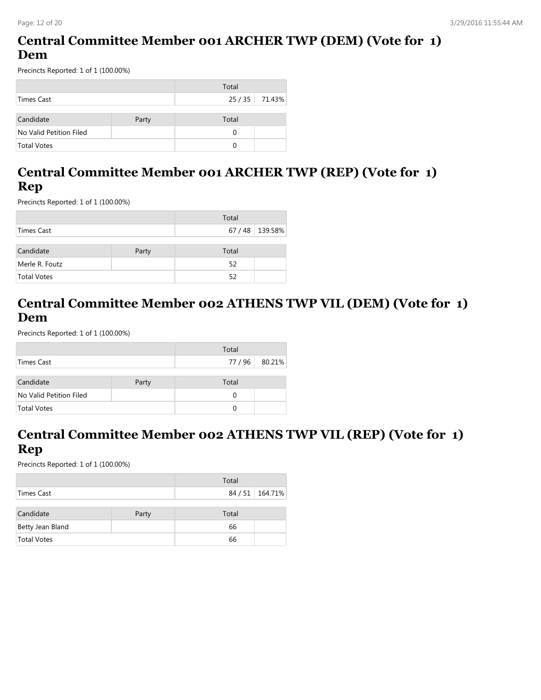# **Central Committee Member 001 ARCHER TWP (DEM) (Vote for 1) Dem**

Precincts Reported: 1 of 1 (100.00%)

|                         |       | Total |                |
|-------------------------|-------|-------|----------------|
| Times Cast              |       |       | 25 / 35 71.43% |
|                         |       |       |                |
| Candidate               | Party | Total |                |
| No Valid Petition Filed |       | 0     |                |
| <b>Total Votes</b>      |       | U     |                |

# **Central Committee Member 001 ARCHER TWP (REP) (Vote for 1) Rep**

Precincts Reported: 1 of 1 (100.00%)

|                |       | Total |                 |
|----------------|-------|-------|-----------------|
| Times Cast     |       |       | 67 / 48 139.58% |
| Candidate      | Party | Total |                 |
| Merle R. Foutz |       | 52    |                 |
| Total Votes    |       | 52    |                 |

# **Central Committee Member 002 ATHENS TWP VIL (DEM) (Vote for 1) Dem**

Precincts Reported: 1 of 1 (100.00%)

|                         |       | Total    |        |
|-------------------------|-------|----------|--------|
| Times Cast              |       | 77/96    | 80.21% |
| Candidate               | Party | Total    |        |
| No Valid Petition Filed |       | 0        |        |
| <b>Total Votes</b>      |       | $\Omega$ |        |

# **Central Committee Member 002 ATHENS TWP VIL (REP) (Vote for 1) Rep**

|                    |       | Total |                 |
|--------------------|-------|-------|-----------------|
| Times Cast         |       |       | 84 / 51 164.71% |
|                    |       |       |                 |
| Candidate          | Party | Total |                 |
| Betty Jean Bland   |       | 66    |                 |
| <b>Total Votes</b> |       | 66    |                 |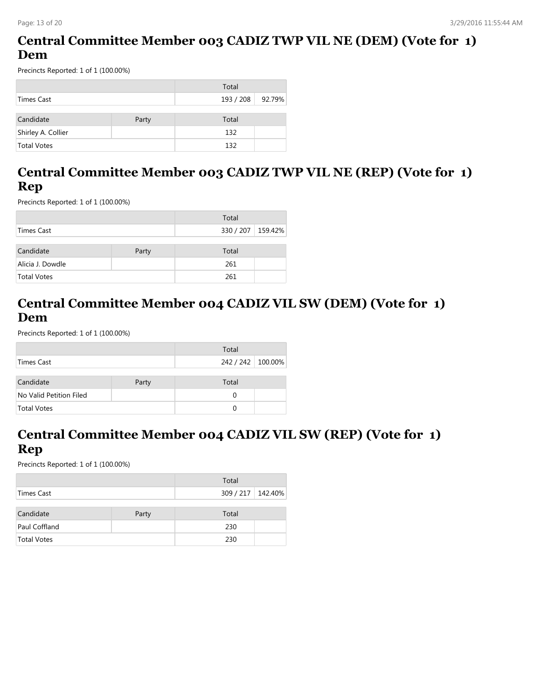# **Central Committee Member 003 CADIZ TWP VIL NE (DEM) (Vote for 1) Dem**

Precincts Reported: 1 of 1 (100.00%)

|                    |       | Total            |  |
|--------------------|-------|------------------|--|
| Times Cast         |       | 193 / 208 92.79% |  |
|                    |       |                  |  |
| Candidate          | Party | Total            |  |
| Shirley A. Collier |       | 132              |  |
| <b>Total Votes</b> |       | 132              |  |

# **Central Committee Member 003 CADIZ TWP VIL NE (REP) (Vote for 1) Rep**

Precincts Reported: 1 of 1 (100.00%)

|                  |       | Total             |  |
|------------------|-------|-------------------|--|
| Times Cast       |       | 330 / 207 159.42% |  |
| Candidate        | Party | Total             |  |
| Alicia J. Dowdle |       | 261               |  |
| Total Votes      |       | 261               |  |

#### **Central Committee Member 004 CADIZ VIL SW (DEM) (Vote for 1) Dem**

Precincts Reported: 1 of 1 (100.00%)

|                         |       | Total             |  |
|-------------------------|-------|-------------------|--|
| Times Cast              |       | 242 / 242 100.00% |  |
| Candidate               | Party | Total             |  |
| No Valid Petition Filed |       | $\Omega$          |  |
| <b>Total Votes</b>      |       | $\Omega$          |  |

#### **Central Committee Member 004 CADIZ VIL SW (REP) (Vote for 1) Rep**

|                    |       | Total             |  |
|--------------------|-------|-------------------|--|
| Times Cast         |       | 309 / 217 142.40% |  |
|                    |       |                   |  |
| Candidate          | Party | Total             |  |
| Paul Coffland      |       | 230               |  |
| <b>Total Votes</b> |       | 230               |  |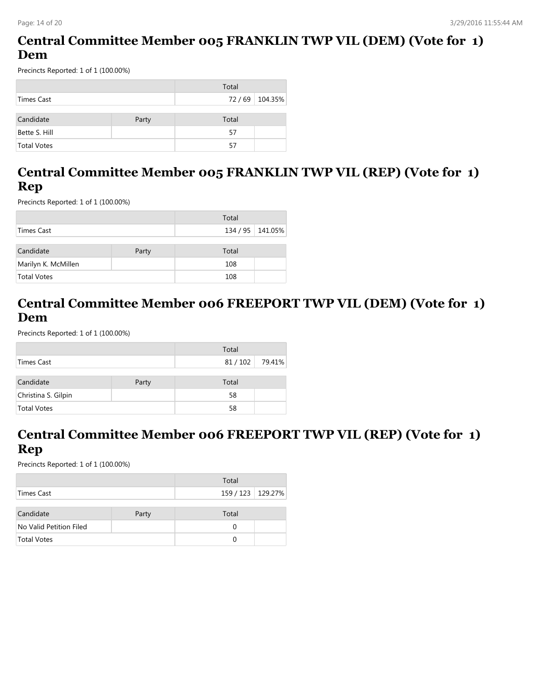#### **Central Committee Member 005 FRANKLIN TWP VIL (DEM) (Vote for 1) Dem**

Precincts Reported: 1 of 1 (100.00%)

|                    |       | Total |                 |
|--------------------|-------|-------|-----------------|
| Times Cast         |       |       | 72 / 69 104.35% |
| Candidate          | Party | Total |                 |
| Bette S. Hill      |       | 57    |                 |
| <b>Total Votes</b> |       | 57    |                 |

# **Central Committee Member 005 FRANKLIN TWP VIL (REP) (Vote for 1) Rep**

Precincts Reported: 1 of 1 (100.00%)

|                     |       | Total            |  |
|---------------------|-------|------------------|--|
| Times Cast          |       | 134 / 95 141.05% |  |
| Candidate           | Party | Total            |  |
| Marilyn K. McMillen |       | 108              |  |
| Total Votes         |       | 108              |  |

#### **Central Committee Member 006 FREEPORT TWP VIL (DEM) (Vote for 1) Dem**

Precincts Reported: 1 of 1 (100.00%)

|                     |       | Total  |        |
|---------------------|-------|--------|--------|
| Times Cast          |       | 81/102 | 79.41% |
|                     |       |        |        |
| Candidate           | Party | Total  |        |
| Christina S. Gilpin |       | 58     |        |
| <b>Total Votes</b>  |       | 58     |        |

#### **Central Committee Member 006 FREEPORT TWP VIL (REP) (Vote for 1) Rep**

|                         |       | Total               |  |
|-------------------------|-------|---------------------|--|
| Times Cast              |       | 159 / 123   129.27% |  |
| Candidate               | Party | Total               |  |
| No Valid Petition Filed |       | 0                   |  |
| <b>Total Votes</b>      |       | $\Omega$            |  |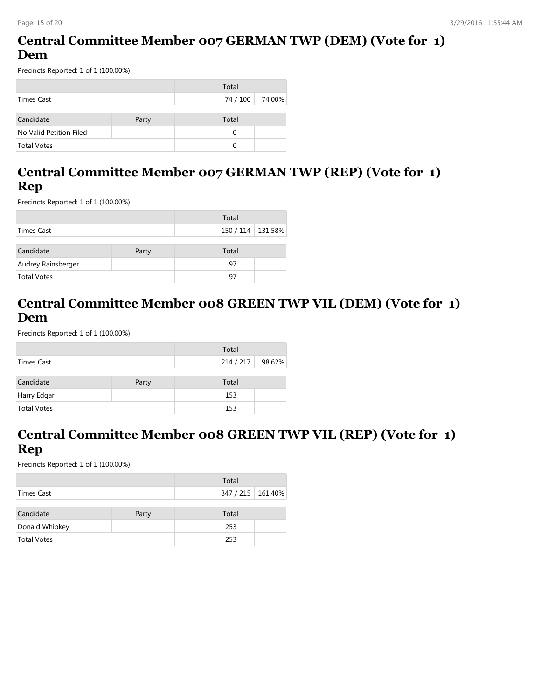# **Central Committee Member 007 GERMAN TWP (DEM) (Vote for 1) Dem**

Precincts Reported: 1 of 1 (100.00%)

|                         |       | Total    |        |
|-------------------------|-------|----------|--------|
| Times Cast              |       | 74 / 100 | 74.00% |
|                         |       |          |        |
| Candidate               | Party | Total    |        |
| No Valid Petition Filed |       | 0        |        |
| <b>Total Votes</b>      |       | ∩        |        |

#### **Central Committee Member 007 GERMAN TWP (REP) (Vote for 1) Rep**

Precincts Reported: 1 of 1 (100.00%)

|                    |       | Total             |  |
|--------------------|-------|-------------------|--|
| Times Cast         |       | 150 / 114 131.58% |  |
| Candidate          | Party | Total             |  |
| Audrey Rainsberger |       | 97                |  |
| <b>Total Votes</b> |       | 97                |  |

#### **Central Committee Member 008 GREEN TWP VIL (DEM) (Vote for 1) Dem**

Precincts Reported: 1 of 1 (100.00%)

|                    |       | Total   |        |
|--------------------|-------|---------|--------|
| Times Cast         |       | 214/217 | 98.62% |
|                    |       |         |        |
| Candidate          | Party | Total   |        |
| Harry Edgar        |       | 153     |        |
| <b>Total Votes</b> |       | 153     |        |

# **Central Committee Member 008 GREEN TWP VIL (REP) (Vote for 1) Rep**

|                    |       | Total             |  |
|--------------------|-------|-------------------|--|
| Times Cast         |       | 347 / 215 161.40% |  |
|                    |       |                   |  |
| Candidate          | Party | Total             |  |
| Donald Whipkey     |       | 253               |  |
| <b>Total Votes</b> |       | 253               |  |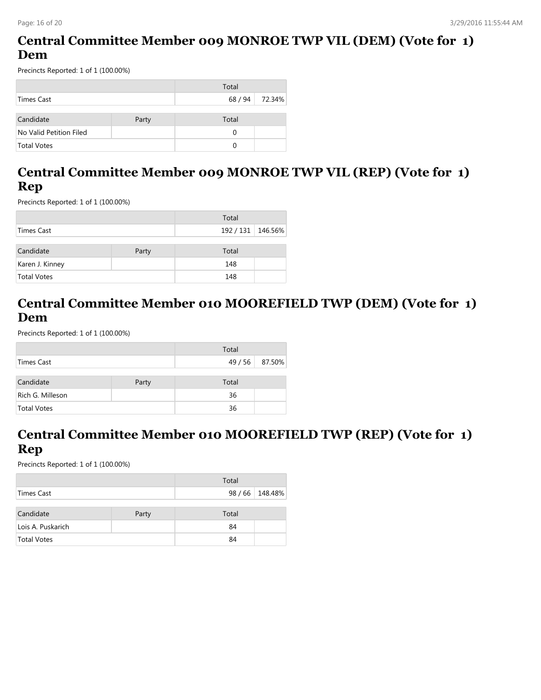# **Central Committee Member 009 MONROE TWP VIL (DEM) (Vote for 1) Dem**

Precincts Reported: 1 of 1 (100.00%)

|                         |       | Total |                |
|-------------------------|-------|-------|----------------|
| Times Cast              |       |       | 68 / 94 72.34% |
|                         |       |       |                |
| Candidate               | Party | Total |                |
| No Valid Petition Filed |       | 0     |                |
| <b>Total Votes</b>      |       | 0     |                |

## **Central Committee Member 009 MONROE TWP VIL (REP) (Vote for 1) Rep**

Precincts Reported: 1 of 1 (100.00%)

|                 |       | Total             |  |
|-----------------|-------|-------------------|--|
| Times Cast      |       | 192 / 131 146.56% |  |
|                 |       |                   |  |
| Candidate       | Party | Total             |  |
| Karen J. Kinney |       | 148               |  |
| Total Votes     |       | 148               |  |

#### **Central Committee Member 010 MOOREFIELD TWP (DEM) (Vote for 1) Dem**

Precincts Reported: 1 of 1 (100.00%)

|                    |       | Total |        |
|--------------------|-------|-------|--------|
| Times Cast         |       | 49/56 | 87.50% |
|                    |       |       |        |
| Candidate          | Party | Total |        |
| Rich G. Milleson   |       | 36    |        |
| <b>Total Votes</b> |       | 36    |        |

#### **Central Committee Member 010 MOOREFIELD TWP (REP) (Vote for 1) Rep**

|                    |       | Total |                 |
|--------------------|-------|-------|-----------------|
| Times Cast         |       |       | 98 / 66 148.48% |
| Candidate          | Party | Total |                 |
| Lois A. Puskarich  |       | 84    |                 |
| <b>Total Votes</b> |       | 84    |                 |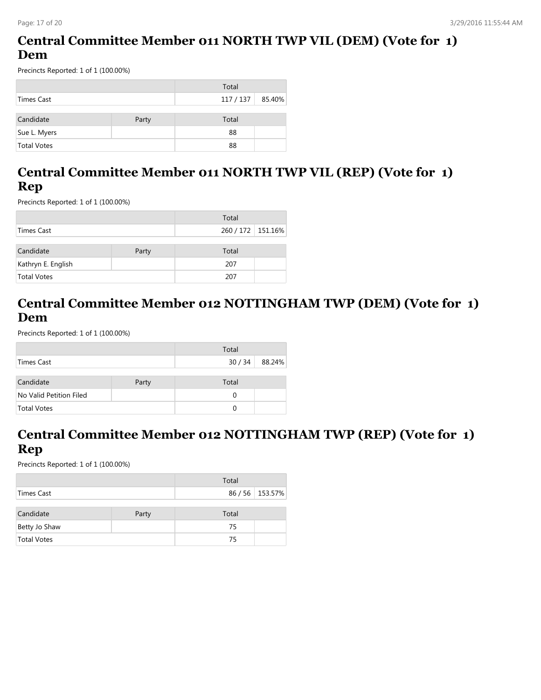# **Central Committee Member 011 NORTH TWP VIL (DEM) (Vote for 1) Dem**

Precincts Reported: 1 of 1 (100.00%)

|                    |       | Total     |        |
|--------------------|-------|-----------|--------|
| Times Cast         |       | 117 / 137 | 85.40% |
|                    |       |           |        |
| Candidate          | Party | Total     |        |
| Sue L. Myers       |       | 88        |        |
| <b>Total Votes</b> |       | 88        |        |

#### **Central Committee Member 011 NORTH TWP VIL (REP) (Vote for 1) Rep**

Precincts Reported: 1 of 1 (100.00%)

|                    |       | Total               |  |
|--------------------|-------|---------------------|--|
| Times Cast         |       | 260 / 172   151.16% |  |
| Candidate          | Party | Total               |  |
| Kathryn E. English |       | 207                 |  |
| <b>Total Votes</b> |       | 207                 |  |

# **Central Committee Member 012 NOTTINGHAM TWP (DEM) (Vote for 1) Dem**

Precincts Reported: 1 of 1 (100.00%)

|                         |       | Total    |        |
|-------------------------|-------|----------|--------|
| Times Cast              |       | 30/34    | 88.24% |
|                         |       |          |        |
| Candidate               | Party | Total    |        |
| No Valid Petition Filed |       | 0        |        |
| <b>Total Votes</b>      |       | $\Omega$ |        |

# **Central Committee Member 012 NOTTINGHAM TWP (REP) (Vote for 1) Rep**

|                    |       | Total |                 |
|--------------------|-------|-------|-----------------|
| Times Cast         |       |       | 86 / 56 153.57% |
|                    |       |       |                 |
| Candidate          | Party | Total |                 |
| Betty Jo Shaw      |       | 75    |                 |
| <b>Total Votes</b> |       | 75    |                 |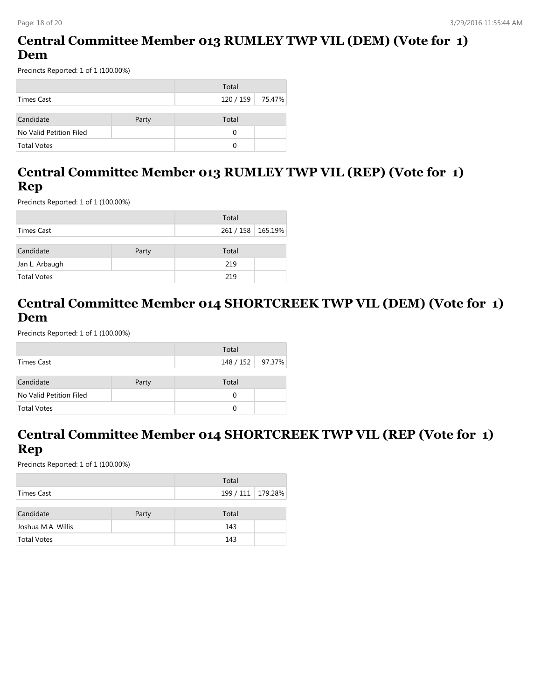# **Central Committee Member 013 RUMLEY TWP VIL (DEM) (Vote for 1) Dem**

Precincts Reported: 1 of 1 (100.00%)

|                         |       | Total            |  |
|-------------------------|-------|------------------|--|
| Times Cast              |       | 120 / 159 75.47% |  |
|                         |       |                  |  |
| Candidate               | Party | Total            |  |
| No Valid Petition Filed |       | 0                |  |
| <b>Total Votes</b>      |       | 0                |  |

# **Central Committee Member 013 RUMLEY TWP VIL (REP) (Vote for 1) Rep**

Precincts Reported: 1 of 1 (100.00%)

|                |       | Total               |  |
|----------------|-------|---------------------|--|
| Times Cast     |       | 261 / 158   165.19% |  |
|                |       |                     |  |
| Candidate      | Party | Total               |  |
| Jan L. Arbaugh |       | 219                 |  |
| Total Votes    |       | 219                 |  |

# **Central Committee Member 014 SHORTCREEK TWP VIL (DEM) (Vote for 1) Dem**

Precincts Reported: 1 of 1 (100.00%)

|                         |       | Total            |  |
|-------------------------|-------|------------------|--|
| Times Cast              |       | 148 / 152 97.37% |  |
|                         |       |                  |  |
| Candidate               | Party | Total            |  |
| No Valid Petition Filed |       | 0                |  |
| <b>Total Votes</b>      |       | ∩                |  |

#### **Central Committee Member 014 SHORTCREEK TWP VIL (REP (Vote for 1) Rep**

|                    |       | Total               |  |
|--------------------|-------|---------------------|--|
| Times Cast         |       | 199 / 111   179.28% |  |
|                    |       |                     |  |
| Candidate          | Party | Total               |  |
| Joshua M.A. Willis |       | 143                 |  |
| <b>Total Votes</b> |       | 143                 |  |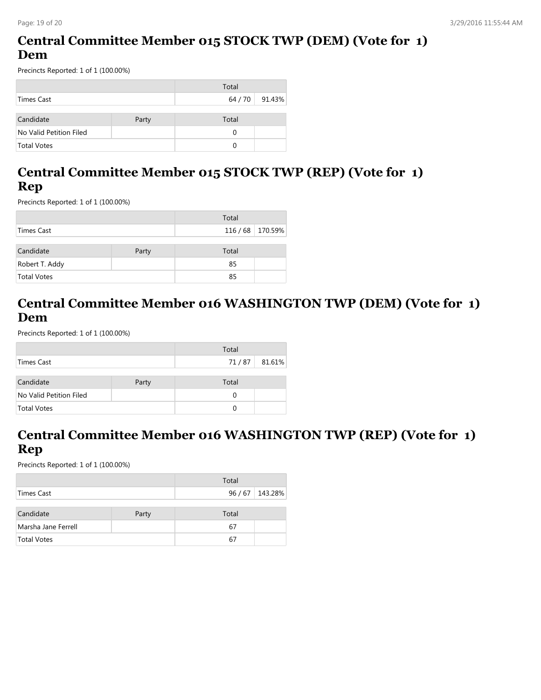# **Central Committee Member 015 STOCK TWP (DEM) (Vote for 1) Dem**

Precincts Reported: 1 of 1 (100.00%)

|                         |       | Total |        |
|-------------------------|-------|-------|--------|
| Times Cast              |       | 64/70 | 91.43% |
|                         |       |       |        |
| Candidate               | Party | Total |        |
| No Valid Petition Filed |       | 0     |        |
| <b>Total Votes</b>      |       | 0     |        |

#### **Central Committee Member 015 STOCK TWP (REP) (Vote for 1) Rep**

Precincts Reported: 1 of 1 (100.00%)

|                |       | Total              |  |
|----------------|-------|--------------------|--|
| Times Cast     |       | 116 / 68   170.59% |  |
| Candidate      | Party | Total              |  |
| Robert T. Addy |       | 85                 |  |
| Total Votes    |       | 85                 |  |

#### **Central Committee Member 016 WASHINGTON TWP (DEM) (Vote for 1) Dem**

Precincts Reported: 1 of 1 (100.00%)

|                         |       | Total |        |
|-------------------------|-------|-------|--------|
| Times Cast              |       | 71/87 | 81.61% |
|                         |       |       |        |
| Candidate               | Party | Total |        |
| No Valid Petition Filed |       | 0     |        |
| Total Votes             |       | 0     |        |

# **Central Committee Member 016 WASHINGTON TWP (REP) (Vote for 1) Rep**

|                     |       | Total |               |
|---------------------|-------|-------|---------------|
| Times Cast          |       |       | 96/67 143.28% |
|                     |       |       |               |
| Candidate           | Party | Total |               |
| Marsha Jane Ferrell |       | 67    |               |
| <b>Total Votes</b>  |       | 67    |               |